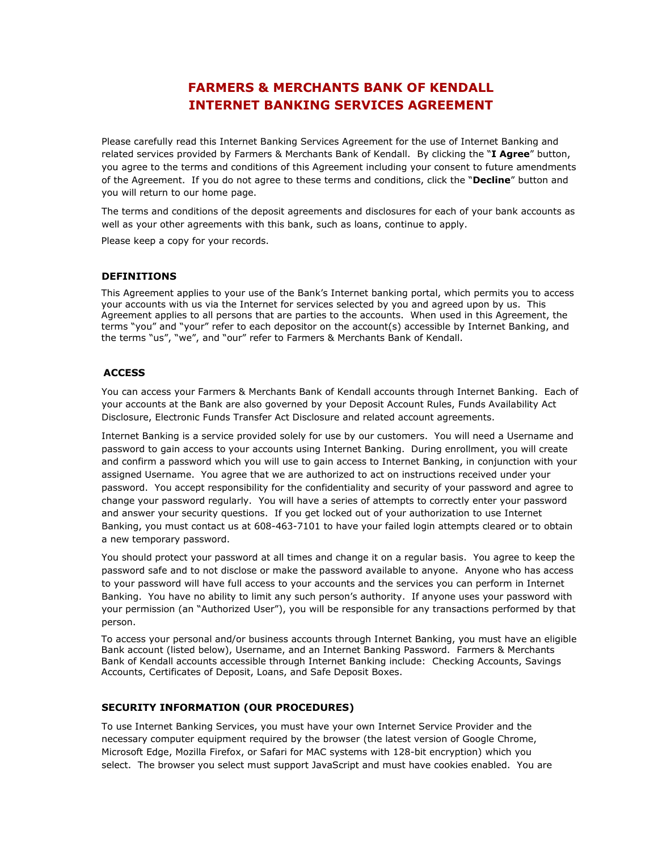# **FARMERS & MERCHANTS BANK OF KENDALL INTERNET BANKING SERVICES AGREEMENT**

Please carefully read this Internet Banking Services Agreement for the use of Internet Banking and related services provided by Farmers & Merchants Bank of Kendall. By clicking the "**I Agree**" button, you agree to the terms and conditions of this Agreement including your consent to future amendments of the Agreement. If you do not agree to these terms and conditions, click the "**Decline**" button and you will return to our home page.

The terms and conditions of the deposit agreements and disclosures for each of your bank accounts as well as your other agreements with this bank, such as loans, continue to apply.

Please keep a copy for your records.

# **DEFINITIONS**

This Agreement applies to your use of the Bank's Internet banking portal, which permits you to access your accounts with us via the Internet for services selected by you and agreed upon by us. This Agreement applies to all persons that are parties to the accounts. When used in this Agreement, the terms "you" and "your" refer to each depositor on the account(s) accessible by Internet Banking, and the terms "us", "we", and "our" refer to Farmers & Merchants Bank of Kendall.

# **ACCESS**

You can access your Farmers & Merchants Bank of Kendall accounts through Internet Banking. Each of your accounts at the Bank are also governed by your Deposit Account Rules, Funds Availability Act Disclosure, Electronic Funds Transfer Act Disclosure and related account agreements.

Internet Banking is a service provided solely for use by our customers. You will need a Username and password to gain access to your accounts using Internet Banking. During enrollment, you will create and confirm a password which you will use to gain access to Internet Banking, in conjunction with your assigned Username. You agree that we are authorized to act on instructions received under your password. You accept responsibility for the confidentiality and security of your password and agree to change your password regularly. You will have a series of attempts to correctly enter your password and answer your security questions. If you get locked out of your authorization to use Internet Banking, you must contact us at 608-463-7101 to have your failed login attempts cleared or to obtain a new temporary password.

You should protect your password at all times and change it on a regular basis. You agree to keep the password safe and to not disclose or make the password available to anyone. Anyone who has access to your password will have full access to your accounts and the services you can perform in Internet Banking. You have no ability to limit any such person's authority. If anyone uses your password with your permission (an "Authorized User"), you will be responsible for any transactions performed by that person.

To access your personal and/or business accounts through Internet Banking, you must have an eligible Bank account (listed below), Username, and an Internet Banking Password. Farmers & Merchants Bank of Kendall accounts accessible through Internet Banking include: Checking Accounts, Savings Accounts, Certificates of Deposit, Loans, and Safe Deposit Boxes.

# **SECURITY INFORMATION (OUR PROCEDURES)**

To use Internet Banking Services, you must have your own Internet Service Provider and the necessary computer equipment required by the browser (the latest version of Google Chrome, Microsoft Edge, Mozilla Firefox, or Safari for MAC systems with 128-bit encryption) which you select. The browser you select must support JavaScript and must have cookies enabled. You are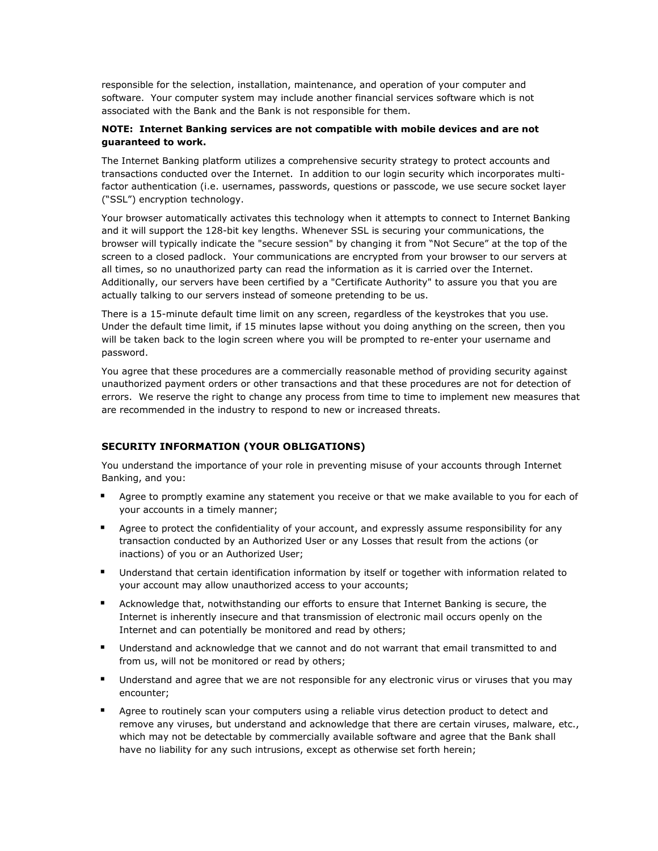responsible for the selection, installation, maintenance, and operation of your computer and software. Your computer system may include another financial services software which is not associated with the Bank and the Bank is not responsible for them.

# **NOTE: Internet Banking services are not compatible with mobile devices and are not guaranteed to work.**

The Internet Banking platform utilizes a comprehensive security strategy to protect accounts and transactions conducted over the Internet. In addition to our login security which incorporates multifactor authentication (i.e. usernames, passwords, questions or passcode, we use secure socket layer ("SSL") encryption technology.

Your browser automatically activates this technology when it attempts to connect to Internet Banking and it will support the 128-bit key lengths. Whenever SSL is securing your communications, the browser will typically indicate the "secure session" by changing it from "Not Secure" at the top of the screen to a closed padlock. Your communications are encrypted from your browser to our servers at all times, so no unauthorized party can read the information as it is carried over the Internet. Additionally, our servers have been certified by a "Certificate Authority" to assure you that you are actually talking to our servers instead of someone pretending to be us.

There is a 15-minute default time limit on any screen, regardless of the keystrokes that you use. Under the default time limit, if 15 minutes lapse without you doing anything on the screen, then you will be taken back to the login screen where you will be prompted to re-enter your username and password.

You agree that these procedures are a commercially reasonable method of providing security against unauthorized payment orders or other transactions and that these procedures are not for detection of errors. We reserve the right to change any process from time to time to implement new measures that are recommended in the industry to respond to new or increased threats.

# **SECURITY INFORMATION (YOUR OBLIGATIONS)**

You understand the importance of your role in preventing misuse of your accounts through Internet Banking, and you:

- Agree to promptly examine any statement you receive or that we make available to you for each of your accounts in a timely manner;
- **E** Agree to protect the confidentiality of your account, and expressly assume responsibility for any transaction conducted by an Authorized User or any Losses that result from the actions (or inactions) of you or an Authorized User;
- Understand that certain identification information by itself or together with information related to your account may allow unauthorized access to your accounts;
- Acknowledge that, notwithstanding our efforts to ensure that Internet Banking is secure, the Internet is inherently insecure and that transmission of electronic mail occurs openly on the Internet and can potentially be monitored and read by others;
- Understand and acknowledge that we cannot and do not warrant that email transmitted to and from us, will not be monitored or read by others;
- Understand and agree that we are not responsible for any electronic virus or viruses that you may encounter;
- Agree to routinely scan your computers using a reliable virus detection product to detect and remove any viruses, but understand and acknowledge that there are certain viruses, malware, etc., which may not be detectable by commercially available software and agree that the Bank shall have no liability for any such intrusions, except as otherwise set forth herein;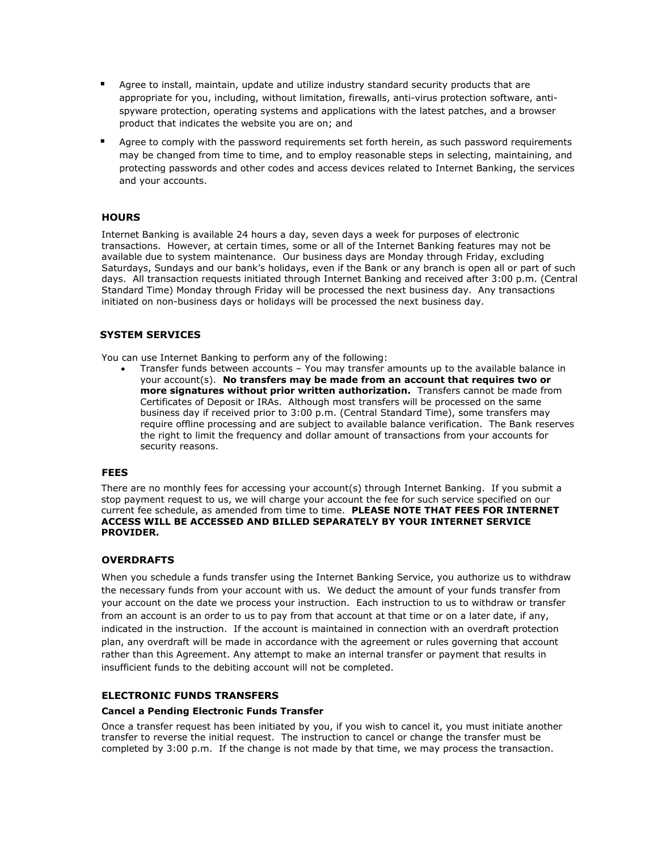- Agree to install, maintain, update and utilize industry standard security products that are appropriate for you, including, without limitation, firewalls, anti-virus protection software, antispyware protection, operating systems and applications with the latest patches, and a browser product that indicates the website you are on; and
- **E** Agree to comply with the password requirements set forth herein, as such password requirements may be changed from time to time, and to employ reasonable steps in selecting, maintaining, and protecting passwords and other codes and access devices related to Internet Banking, the services and your accounts.

# **HOURS**

Internet Banking is available 24 hours a day, seven days a week for purposes of electronic transactions. However, at certain times, some or all of the Internet Banking features may not be available due to system maintenance. Our business days are Monday through Friday, excluding Saturdays, Sundays and our bank's holidays, even if the Bank or any branch is open all or part of such days. All transaction requests initiated through Internet Banking and received after 3:00 p.m. (Central Standard Time) Monday through Friday will be processed the next business day. Any transactions initiated on non-business days or holidays will be processed the next business day.

# **SYSTEM SERVICES**

You can use Internet Banking to perform any of the following:

• Transfer funds between accounts – You may transfer amounts up to the available balance in your account(s). **No transfers may be made from an account that requires two or more signatures without prior written authorization.** Transfers cannot be made from Certificates of Deposit or IRAs. Although most transfers will be processed on the same business day if received prior to 3:00 p.m. (Central Standard Time), some transfers may require offline processing and are subject to available balance verification. The Bank reserves the right to limit the frequency and dollar amount of transactions from your accounts for security reasons.

# **FEES**

There are no monthly fees for accessing your account(s) through Internet Banking. If you submit a stop payment request to us, we will charge your account the fee for such service specified on our current fee schedule, as amended from time to time. **PLEASE NOTE THAT FEES FOR INTERNET ACCESS WILL BE ACCESSED AND BILLED SEPARATELY BY YOUR INTERNET SERVICE PROVIDER.**

# **OVERDRAFTS**

When you schedule a funds transfer using the Internet Banking Service, you authorize us to withdraw the necessary funds from your account with us. We deduct the amount of your funds transfer from your account on the date we process your instruction. Each instruction to us to withdraw or transfer from an account is an order to us to pay from that account at that time or on a later date, if any, indicated in the instruction. If the account is maintained in connection with an overdraft protection plan, any overdraft will be made in accordance with the agreement or rules governing that account rather than this Agreement. Any attempt to make an internal transfer or payment that results in insufficient funds to the debiting account will not be completed.

# **ELECTRONIC FUNDS TRANSFERS**

# **Cancel a Pending Electronic Funds Transfer**

Once a transfer request has been initiated by you, if you wish to cancel it, you must initiate another transfer to reverse the initial request. The instruction to cancel or change the transfer must be completed by 3:00 p.m. If the change is not made by that time, we may process the transaction.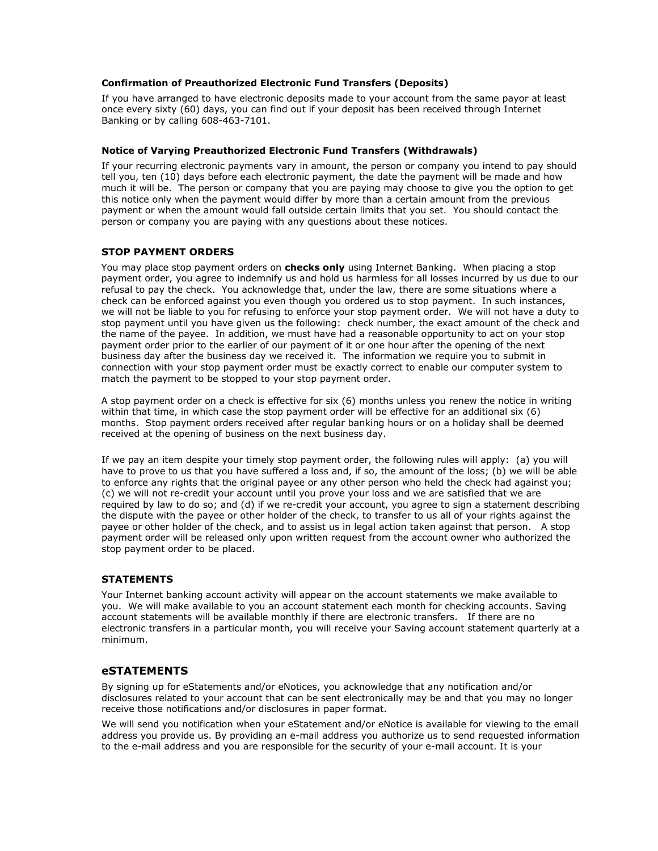# **Confirmation of Preauthorized Electronic Fund Transfers (Deposits)**

If you have arranged to have electronic deposits made to your account from the same payor at least once every sixty (60) days, you can find out if your deposit has been received through Internet Banking or by calling 608-463-7101.

# **Notice of Varying Preauthorized Electronic Fund Transfers (Withdrawals)**

If your recurring electronic payments vary in amount, the person or company you intend to pay should tell you, ten (10) days before each electronic payment, the date the payment will be made and how much it will be. The person or company that you are paying may choose to give you the option to get this notice only when the payment would differ by more than a certain amount from the previous payment or when the amount would fall outside certain limits that you set. You should contact the person or company you are paying with any questions about these notices.

# **STOP PAYMENT ORDERS**

You may place stop payment orders on **checks only** using Internet Banking. When placing a stop payment order, you agree to indemnify us and hold us harmless for all losses incurred by us due to our refusal to pay the check. You acknowledge that, under the law, there are some situations where a check can be enforced against you even though you ordered us to stop payment. In such instances, we will not be liable to you for refusing to enforce your stop payment order. We will not have a duty to stop payment until you have given us the following: check number, the exact amount of the check and the name of the payee. In addition, we must have had a reasonable opportunity to act on your stop payment order prior to the earlier of our payment of it or one hour after the opening of the next business day after the business day we received it. The information we require you to submit in connection with your stop payment order must be exactly correct to enable our computer system to match the payment to be stopped to your stop payment order.

A stop payment order on a check is effective for six (6) months unless you renew the notice in writing within that time, in which case the stop payment order will be effective for an additional six (6) months. Stop payment orders received after regular banking hours or on a holiday shall be deemed received at the opening of business on the next business day.

If we pay an item despite your timely stop payment order, the following rules will apply: (a) you will have to prove to us that you have suffered a loss and, if so, the amount of the loss; (b) we will be able to enforce any rights that the original payee or any other person who held the check had against you; (c) we will not re-credit your account until you prove your loss and we are satisfied that we are required by law to do so; and (d) if we re-credit your account, you agree to sign a statement describing the dispute with the payee or other holder of the check, to transfer to us all of your rights against the payee or other holder of the check, and to assist us in legal action taken against that person. A stop payment order will be released only upon written request from the account owner who authorized the stop payment order to be placed.

# **STATEMENTS**

Your Internet banking account activity will appear on the account statements we make available to you. We will make available to you an account statement each month for checking accounts. Saving account statements will be available monthly if there are electronic transfers. If there are no electronic transfers in a particular month, you will receive your Saving account statement quarterly at a minimum.

# **eSTATEMENTS**

By signing up for eStatements and/or eNotices, you acknowledge that any notification and/or disclosures related to your account that can be sent electronically may be and that you may no longer receive those notifications and/or disclosures in paper format.

We will send you notification when your eStatement and/or eNotice is available for viewing to the email address you provide us. By providing an e-mail address you authorize us to send requested information to the e-mail address and you are responsible for the security of your e-mail account. It is your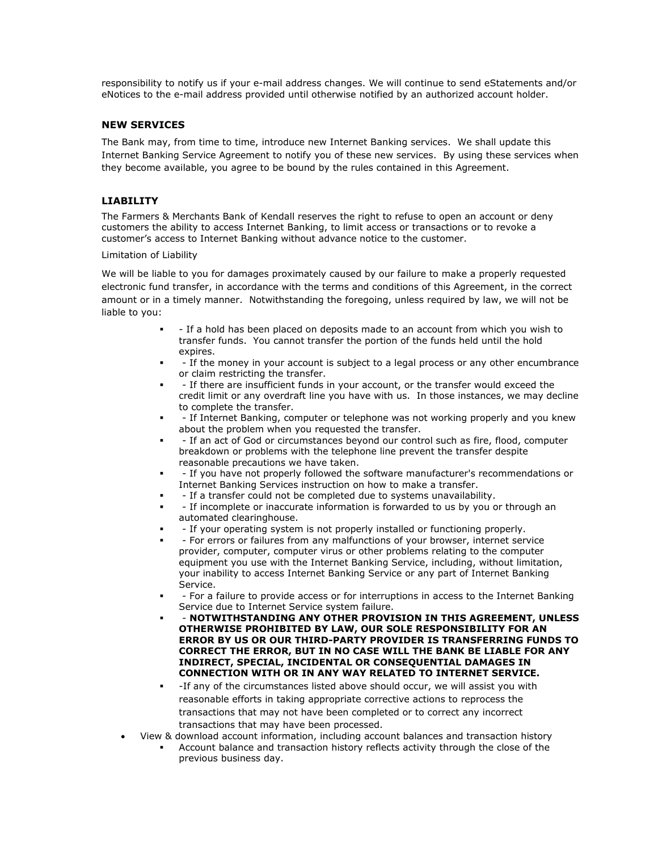responsibility to notify us if your e-mail address changes. We will continue to send eStatements and/or eNotices to the e-mail address provided until otherwise notified by an authorized account holder.

# **NEW SERVICES**

The Bank may, from time to time, introduce new Internet Banking services. We shall update this Internet Banking Service Agreement to notify you of these new services. By using these services when they become available, you agree to be bound by the rules contained in this Agreement.

# **LIABILITY**

The Farmers & Merchants Bank of Kendall reserves the right to refuse to open an account or deny customers the ability to access Internet Banking, to limit access or transactions or to revoke a customer's access to Internet Banking without advance notice to the customer.

#### Limitation of Liability

We will be liable to you for damages proximately caused by our failure to make a properly requested electronic fund transfer, in accordance with the terms and conditions of this Agreement, in the correct amount or in a timely manner. Notwithstanding the foregoing, unless required by law, we will not be liable to you:

- - If a hold has been placed on deposits made to an account from which you wish to transfer funds. You cannot transfer the portion of the funds held until the hold expires.
- If the money in your account is subject to a legal process or any other encumbrance or claim restricting the transfer.
- If there are insufficient funds in your account, or the transfer would exceed the credit limit or any overdraft line you have with us. In those instances, we may decline to complete the transfer.
- If Internet Banking, computer or telephone was not working properly and you knew about the problem when you requested the transfer.
- - If an act of God or circumstances beyond our control such as fire, flood, computer breakdown or problems with the telephone line prevent the transfer despite reasonable precautions we have taken.
- - If you have not properly followed the software manufacturer's recommendations or Internet Banking Services instruction on how to make a transfer.
- - If a transfer could not be completed due to systems unavailability.
- - If incomplete or inaccurate information is forwarded to us by you or through an automated clearinghouse.
- If your operating system is not properly installed or functioning properly.
- - For errors or failures from any malfunctions of your browser, internet service provider, computer, computer virus or other problems relating to the computer equipment you use with the Internet Banking Service, including, without limitation, your inability to access Internet Banking Service or any part of Internet Banking Service.
- - For a failure to provide access or for interruptions in access to the Internet Banking Service due to Internet Service system failure.
- - **NOTWITHSTANDING ANY OTHER PROVISION IN THIS AGREEMENT, UNLESS OTHERWISE PROHIBITED BY LAW, OUR SOLE RESPONSIBILITY FOR AN ERROR BY US OR OUR THIRD-PARTY PROVIDER IS TRANSFERRING FUNDS TO CORRECT THE ERROR, BUT IN NO CASE WILL THE BANK BE LIABLE FOR ANY INDIRECT, SPECIAL, INCIDENTAL OR CONSEQUENTIAL DAMAGES IN CONNECTION WITH OR IN ANY WAY RELATED TO INTERNET SERVICE.**
- -If any of the circumstances listed above should occur, we will assist you with reasonable efforts in taking appropriate corrective actions to reprocess the transactions that may not have been completed or to correct any incorrect transactions that may have been processed.
- View & download account information, including account balances and transaction history
	- Account balance and transaction history reflects activity through the close of the previous business day.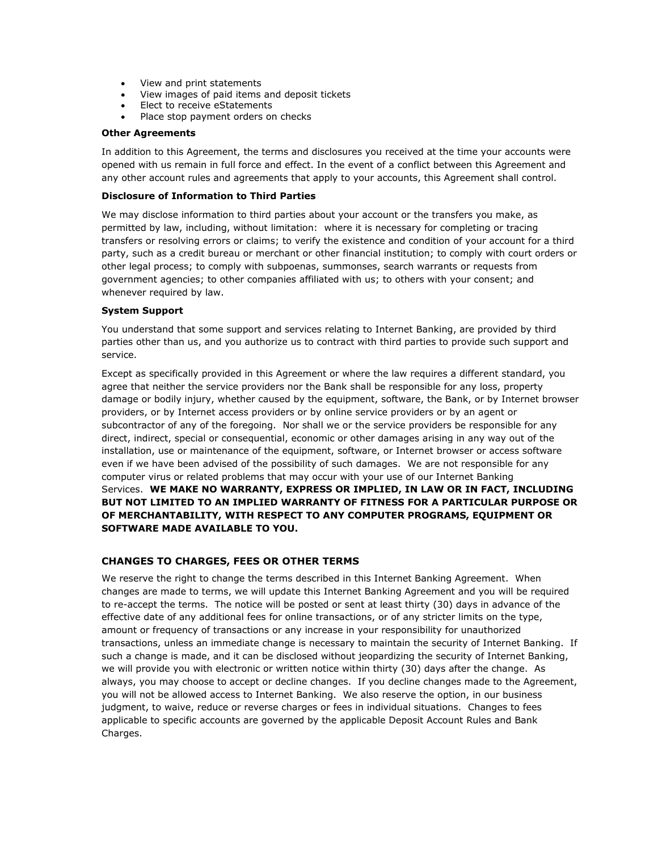- View and print statements
- View images of paid items and deposit tickets
- Elect to receive eStatements
- Place stop payment orders on checks

#### **Other Agreements**

In addition to this Agreement, the terms and disclosures you received at the time your accounts were opened with us remain in full force and effect. In the event of a conflict between this Agreement and any other account rules and agreements that apply to your accounts, this Agreement shall control.

#### **Disclosure of Information to Third Parties**

We may disclose information to third parties about your account or the transfers you make, as permitted by law, including, without limitation: where it is necessary for completing or tracing transfers or resolving errors or claims; to verify the existence and condition of your account for a third party, such as a credit bureau or merchant or other financial institution; to comply with court orders or other legal process; to comply with subpoenas, summonses, search warrants or requests from government agencies; to other companies affiliated with us; to others with your consent; and whenever required by law.

#### **System Support**

You understand that some support and services relating to Internet Banking, are provided by third parties other than us, and you authorize us to contract with third parties to provide such support and service.

Except as specifically provided in this Agreement or where the law requires a different standard, you agree that neither the service providers nor the Bank shall be responsible for any loss, property damage or bodily injury, whether caused by the equipment, software, the Bank, or by Internet browser providers, or by Internet access providers or by online service providers or by an agent or subcontractor of any of the foregoing. Nor shall we or the service providers be responsible for any direct, indirect, special or consequential, economic or other damages arising in any way out of the installation, use or maintenance of the equipment, software, or Internet browser or access software even if we have been advised of the possibility of such damages. We are not responsible for any computer virus or related problems that may occur with your use of our Internet Banking Services. **WE MAKE NO WARRANTY, EXPRESS OR IMPLIED, IN LAW OR IN FACT, INCLUDING BUT NOT LIMITED TO AN IMPLIED WARRANTY OF FITNESS FOR A PARTICULAR PURPOSE OR OF MERCHANTABILITY, WITH RESPECT TO ANY COMPUTER PROGRAMS, EQUIPMENT OR SOFTWARE MADE AVAILABLE TO YOU.**

# **CHANGES TO CHARGES, FEES OR OTHER TERMS**

We reserve the right to change the terms described in this Internet Banking Agreement. When changes are made to terms, we will update this Internet Banking Agreement and you will be required to re-accept the terms. The notice will be posted or sent at least thirty (30) days in advance of the effective date of any additional fees for online transactions, or of any stricter limits on the type, amount or frequency of transactions or any increase in your responsibility for unauthorized transactions, unless an immediate change is necessary to maintain the security of Internet Banking. If such a change is made, and it can be disclosed without jeopardizing the security of Internet Banking, we will provide you with electronic or written notice within thirty (30) days after the change. As always, you may choose to accept or decline changes. If you decline changes made to the Agreement, you will not be allowed access to Internet Banking. We also reserve the option, in our business judgment, to waive, reduce or reverse charges or fees in individual situations. Changes to fees applicable to specific accounts are governed by the applicable Deposit Account Rules and Bank Charges.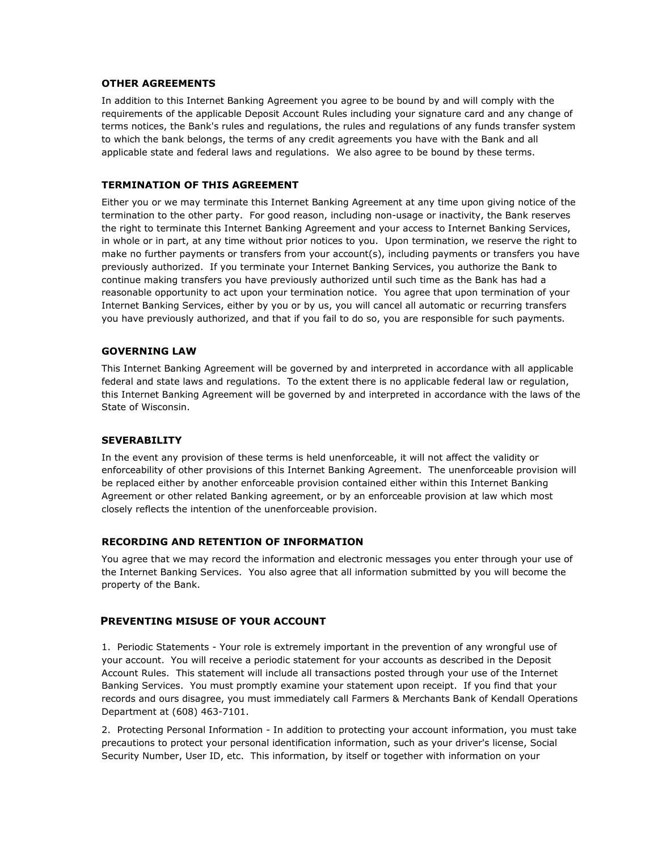# **OTHER AGREEMENTS**

In addition to this Internet Banking Agreement you agree to be bound by and will comply with the requirements of the applicable Deposit Account Rules including your signature card and any change of terms notices, the Bank's rules and regulations, the rules and regulations of any funds transfer system to which the bank belongs, the terms of any credit agreements you have with the Bank and all applicable state and federal laws and regulations. We also agree to be bound by these terms.

# **TERMINATION OF THIS AGREEMENT**

Either you or we may terminate this Internet Banking Agreement at any time upon giving notice of the termination to the other party. For good reason, including non-usage or inactivity, the Bank reserves the right to terminate this Internet Banking Agreement and your access to Internet Banking Services, in whole or in part, at any time without prior notices to you. Upon termination, we reserve the right to make no further payments or transfers from your account(s), including payments or transfers you have previously authorized. If you terminate your Internet Banking Services, you authorize the Bank to continue making transfers you have previously authorized until such time as the Bank has had a reasonable opportunity to act upon your termination notice. You agree that upon termination of your Internet Banking Services, either by you or by us, you will cancel all automatic or recurring transfers you have previously authorized, and that if you fail to do so, you are responsible for such payments.

# **GOVERNING LAW**

This Internet Banking Agreement will be governed by and interpreted in accordance with all applicable federal and state laws and regulations. To the extent there is no applicable federal law or regulation, this Internet Banking Agreement will be governed by and interpreted in accordance with the laws of the State of Wisconsin.

# **SEVERABILITY**

In the event any provision of these terms is held unenforceable, it will not affect the validity or enforceability of other provisions of this Internet Banking Agreement. The unenforceable provision will be replaced either by another enforceable provision contained either within this Internet Banking Agreement or other related Banking agreement, or by an enforceable provision at law which most closely reflects the intention of the unenforceable provision.

# **RECORDING AND RETENTION OF INFORMATION**

You agree that we may record the information and electronic messages you enter through your use of the Internet Banking Services. You also agree that all information submitted by you will become the property of the Bank.

# **PREVENTING MISUSE OF YOUR ACCOUNT**

1. Periodic Statements - Your role is extremely important in the prevention of any wrongful use of your account. You will receive a periodic statement for your accounts as described in the Deposit Account Rules. This statement will include all transactions posted through your use of the Internet Banking Services. You must promptly examine your statement upon receipt. If you find that your records and ours disagree, you must immediately call Farmers & Merchants Bank of Kendall Operations Department at (608) 463-7101.

2. Protecting Personal Information - In addition to protecting your account information, you must take precautions to protect your personal identification information, such as your driver's license, Social Security Number, User ID, etc. This information, by itself or together with information on your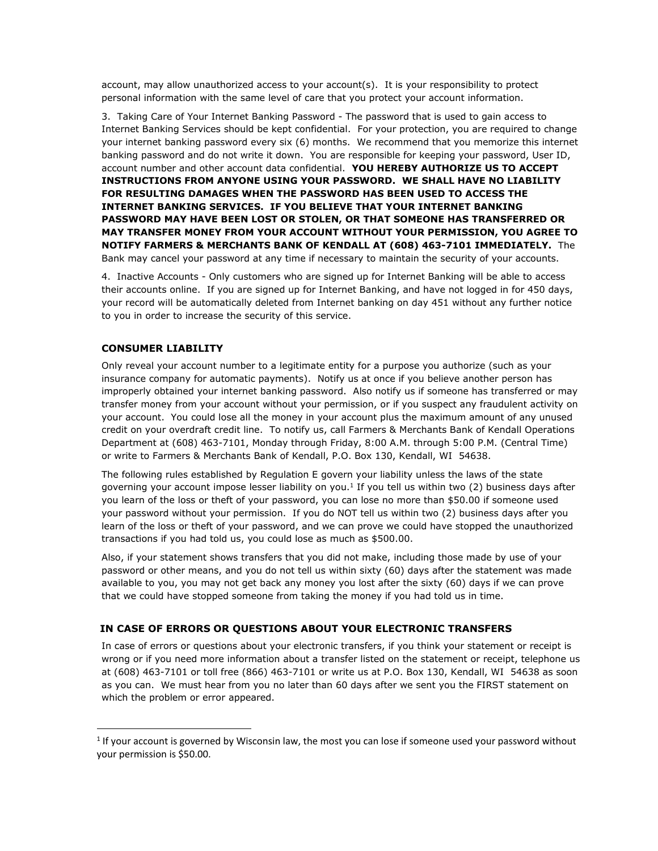account, may allow unauthorized access to your account(s). It is your responsibility to protect personal information with the same level of care that you protect your account information.

3. Taking Care of Your Internet Banking Password - The password that is used to gain access to Internet Banking Services should be kept confidential. For your protection, you are required to change your internet banking password every six (6) months. We recommend that you memorize this internet banking password and do not write it down. You are responsible for keeping your password, User ID, account number and other account data confidential. **YOU HEREBY AUTHORIZE US TO ACCEPT INSTRUCTIONS FROM ANYONE USING YOUR PASSWORD. WE SHALL HAVE NO LIABILITY FOR RESULTING DAMAGES WHEN THE PASSWORD HAS BEEN USED TO ACCESS THE INTERNET BANKING SERVICES. IF YOU BELIEVE THAT YOUR INTERNET BANKING PASSWORD MAY HAVE BEEN LOST OR STOLEN, OR THAT SOMEONE HAS TRANSFERRED OR MAY TRANSFER MONEY FROM YOUR ACCOUNT WITHOUT YOUR PERMISSION, YOU AGREE TO NOTIFY FARMERS & MERCHANTS BANK OF KENDALL AT (608) 463-7101 IMMEDIATELY.** The Bank may cancel your password at any time if necessary to maintain the security of your accounts.

4. Inactive Accounts - Only customers who are signed up for Internet Banking will be able to access their accounts online. If you are signed up for Internet Banking, and have not logged in for 450 days, your record will be automatically deleted from Internet banking on day 451 without any further notice to you in order to increase the security of this service.

# **CONSUMER LIABILITY**

 $\overline{a}$ 

Only reveal your account number to a legitimate entity for a purpose you authorize (such as your insurance company for automatic payments). Notify us at once if you believe another person has improperly obtained your internet banking password. Also notify us if someone has transferred or may transfer money from your account without your permission, or if you suspect any fraudulent activity on your account. You could lose all the money in your account plus the maximum amount of any unused credit on your overdraft credit line. To notify us, call Farmers & Merchants Bank of Kendall Operations Department at (608) 463-7101, Monday through Friday, 8:00 A.M. through 5:00 P.M. (Central Time) or write to Farmers & Merchants Bank of Kendall, P.O. Box 130, Kendall, WI 54638.

The following rules established by Regulation E govern your liability unless the laws of the state governing your account impose lesser liability on you.<sup>1</sup> If you tell us within two (2) business days after you learn of the loss or theft of your password, you can lose no more than \$50.00 if someone used your password without your permission. If you do NOT tell us within two (2) business days after you learn of the loss or theft of your password, and we can prove we could have stopped the unauthorized transactions if you had told us, you could lose as much as \$500.00.

Also, if your statement shows transfers that you did not make, including those made by use of your password or other means, and you do not tell us within sixty (60) days after the statement was made available to you, you may not get back any money you lost after the sixty (60) days if we can prove that we could have stopped someone from taking the money if you had told us in time.

#### **IN CASE OF ERRORS OR QUESTIONS ABOUT YOUR ELECTRONIC TRANSFERS**

In case of errors or questions about your electronic transfers, if you think your statement or receipt is wrong or if you need more information about a transfer listed on the statement or receipt, telephone us at (608) 463-7101 or toll free (866) 463-7101 or write us at P.O. Box 130, Kendall, WI 54638 as soon as you can. We must hear from you no later than 60 days after we sent you the FIRST statement on which the problem or error appeared.

<sup>&</sup>lt;sup>1</sup> If your account is governed by Wisconsin law, the most you can lose if someone used your password without your permission is \$50.00.